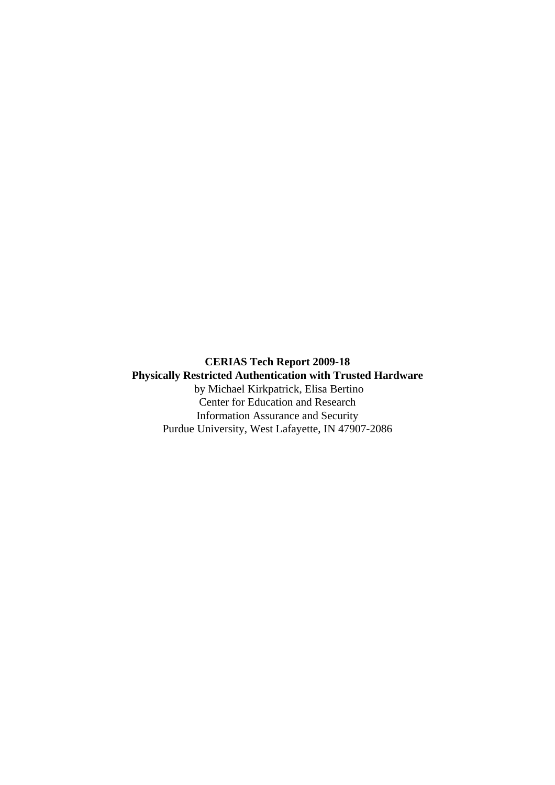**CERIAS Tech Report 2009-18 Physically Restricted Authentication with Trusted Hardware** by Michael Kirkpatrick, Elisa Bertino Center for Education and Research Information Assurance and Security Purdue University, West Lafayette, IN 47907-2086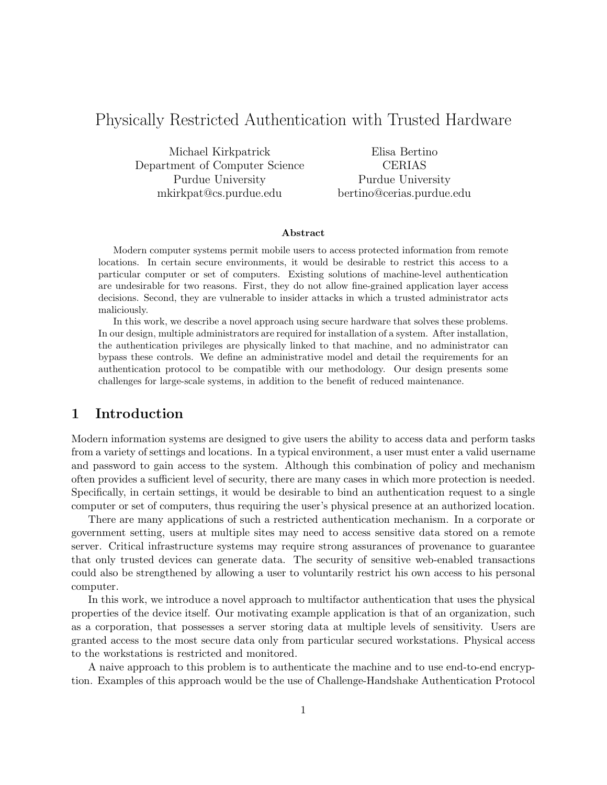# Physically Restricted Authentication with Trusted Hardware

Michael Kirkpatrick Department of Computer Science Purdue University mkirkpat@cs.purdue.edu

Elisa Bertino CERIAS Purdue University bertino@cerias.purdue.edu

### Abstract

Modern computer systems permit mobile users to access protected information from remote locations. In certain secure environments, it would be desirable to restrict this access to a particular computer or set of computers. Existing solutions of machine-level authentication are undesirable for two reasons. First, they do not allow fine-grained application layer access decisions. Second, they are vulnerable to insider attacks in which a trusted administrator acts maliciously.

In this work, we describe a novel approach using secure hardware that solves these problems. In our design, multiple administrators are required for installation of a system. After installation, the authentication privileges are physically linked to that machine, and no administrator can bypass these controls. We define an administrative model and detail the requirements for an authentication protocol to be compatible with our methodology. Our design presents some challenges for large-scale systems, in addition to the benefit of reduced maintenance.

# 1 Introduction

Modern information systems are designed to give users the ability to access data and perform tasks from a variety of settings and locations. In a typical environment, a user must enter a valid username and password to gain access to the system. Although this combination of policy and mechanism often provides a sufficient level of security, there are many cases in which more protection is needed. Specifically, in certain settings, it would be desirable to bind an authentication request to a single computer or set of computers, thus requiring the user's physical presence at an authorized location.

There are many applications of such a restricted authentication mechanism. In a corporate or government setting, users at multiple sites may need to access sensitive data stored on a remote server. Critical infrastructure systems may require strong assurances of provenance to guarantee that only trusted devices can generate data. The security of sensitive web-enabled transactions could also be strengthened by allowing a user to voluntarily restrict his own access to his personal computer.

In this work, we introduce a novel approach to multifactor authentication that uses the physical properties of the device itself. Our motivating example application is that of an organization, such as a corporation, that possesses a server storing data at multiple levels of sensitivity. Users are granted access to the most secure data only from particular secured workstations. Physical access to the workstations is restricted and monitored.

A naive approach to this problem is to authenticate the machine and to use end-to-end encryption. Examples of this approach would be the use of Challenge-Handshake Authentication Protocol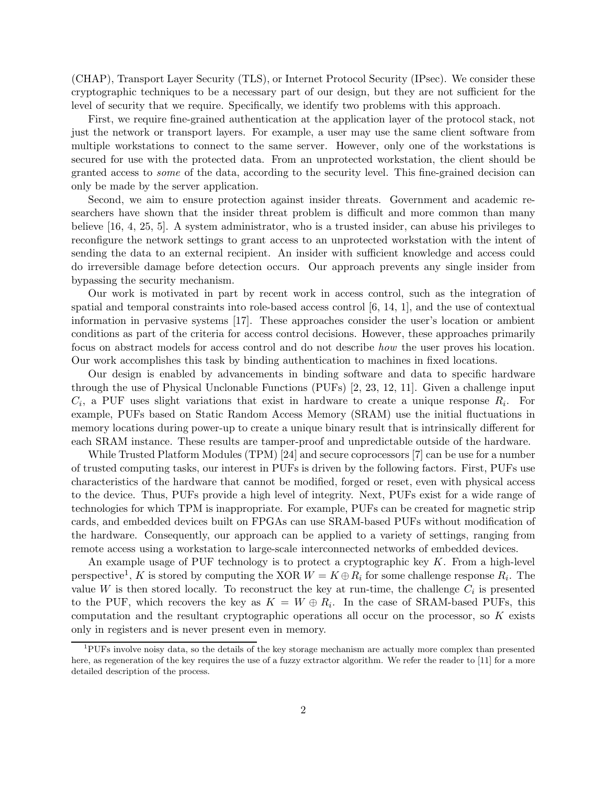(CHAP), Transport Layer Security (TLS), or Internet Protocol Security (IPsec). We consider these cryptographic techniques to be a necessary part of our design, but they are not sufficient for the level of security that we require. Specifically, we identify two problems with this approach.

First, we require fine-grained authentication at the application layer of the protocol stack, not just the network or transport layers. For example, a user may use the same client software from multiple workstations to connect to the same server. However, only one of the workstations is secured for use with the protected data. From an unprotected workstation, the client should be granted access to some of the data, according to the security level. This fine-grained decision can only be made by the server application.

Second, we aim to ensure protection against insider threats. Government and academic researchers have shown that the insider threat problem is difficult and more common than many believe [16, 4, 25, 5]. A system administrator, who is a trusted insider, can abuse his privileges to reconfigure the network settings to grant access to an unprotected workstation with the intent of sending the data to an external recipient. An insider with sufficient knowledge and access could do irreversible damage before detection occurs. Our approach prevents any single insider from bypassing the security mechanism.

Our work is motivated in part by recent work in access control, such as the integration of spatial and temporal constraints into role-based access control [6, 14, 1], and the use of contextual information in pervasive systems [17]. These approaches consider the user's location or ambient conditions as part of the criteria for access control decisions. However, these approaches primarily focus on abstract models for access control and do not describe how the user proves his location. Our work accomplishes this task by binding authentication to machines in fixed locations.

Our design is enabled by advancements in binding software and data to specific hardware through the use of Physical Unclonable Functions (PUFs) [2, 23, 12, 11]. Given a challenge input  $C_i$ , a PUF uses slight variations that exist in hardware to create a unique response  $R_i$ . For example, PUFs based on Static Random Access Memory (SRAM) use the initial fluctuations in memory locations during power-up to create a unique binary result that is intrinsically different for each SRAM instance. These results are tamper-proof and unpredictable outside of the hardware.

While Trusted Platform Modules (TPM) [24] and secure coprocessors [7] can be use for a number of trusted computing tasks, our interest in PUFs is driven by the following factors. First, PUFs use characteristics of the hardware that cannot be modified, forged or reset, even with physical access to the device. Thus, PUFs provide a high level of integrity. Next, PUFs exist for a wide range of technologies for which TPM is inappropriate. For example, PUFs can be created for magnetic strip cards, and embedded devices built on FPGAs can use SRAM-based PUFs without modification of the hardware. Consequently, our approach can be applied to a variety of settings, ranging from remote access using a workstation to large-scale interconnected networks of embedded devices.

An example usage of PUF technology is to protect a cryptographic key  $K$ . From a high-level perspective<sup>1</sup>, K is stored by computing the XOR  $W = K \oplus R_i$  for some challenge response  $R_i$ . The value W is then stored locally. To reconstruct the key at run-time, the challenge  $C_i$  is presented to the PUF, which recovers the key as  $K = W \oplus R_i$ . In the case of SRAM-based PUFs, this computation and the resultant cryptographic operations all occur on the processor, so  $K$  exists only in registers and is never present even in memory.

<sup>1</sup>PUFs involve noisy data, so the details of the key storage mechanism are actually more complex than presented here, as regeneration of the key requires the use of a fuzzy extractor algorithm. We refer the reader to [11] for a more detailed description of the process.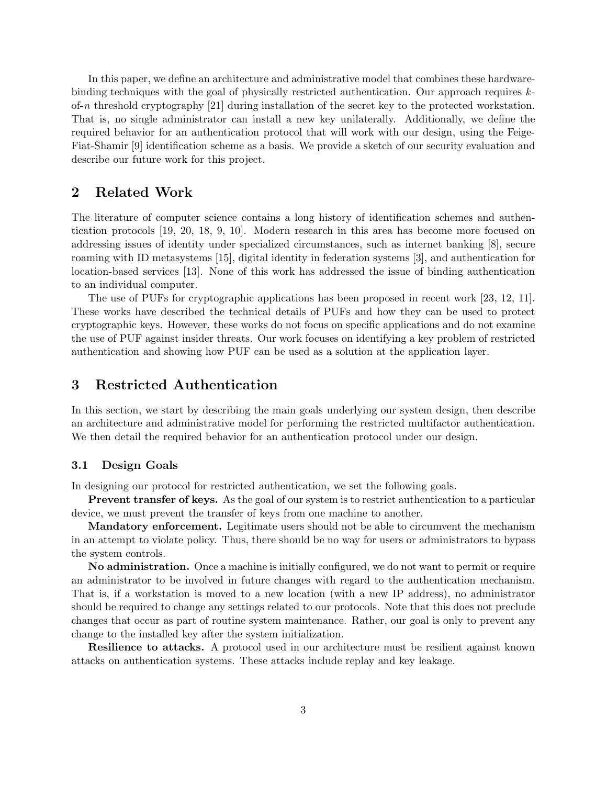In this paper, we define an architecture and administrative model that combines these hardwarebinding techniques with the goal of physically restricted authentication. Our approach requires  $k$ of-n threshold cryptography [21] during installation of the secret key to the protected workstation. That is, no single administrator can install a new key unilaterally. Additionally, we define the required behavior for an authentication protocol that will work with our design, using the Feige-Fiat-Shamir [9] identification scheme as a basis. We provide a sketch of our security evaluation and describe our future work for this project.

# 2 Related Work

The literature of computer science contains a long history of identification schemes and authentication protocols [19, 20, 18, 9, 10]. Modern research in this area has become more focused on addressing issues of identity under specialized circumstances, such as internet banking [8], secure roaming with ID metasystems [15], digital identity in federation systems [3], and authentication for location-based services [13]. None of this work has addressed the issue of binding authentication to an individual computer.

The use of PUFs for cryptographic applications has been proposed in recent work [23, 12, 11]. These works have described the technical details of PUFs and how they can be used to protect cryptographic keys. However, these works do not focus on specific applications and do not examine the use of PUF against insider threats. Our work focuses on identifying a key problem of restricted authentication and showing how PUF can be used as a solution at the application layer.

# 3 Restricted Authentication

In this section, we start by describing the main goals underlying our system design, then describe an architecture and administrative model for performing the restricted multifactor authentication. We then detail the required behavior for an authentication protocol under our design.

### 3.1 Design Goals

In designing our protocol for restricted authentication, we set the following goals.

Prevent transfer of keys. As the goal of our system is to restrict authentication to a particular device, we must prevent the transfer of keys from one machine to another.

Mandatory enforcement. Legitimate users should not be able to circumvent the mechanism in an attempt to violate policy. Thus, there should be no way for users or administrators to bypass the system controls.

No administration. Once a machine is initially configured, we do not want to permit or require an administrator to be involved in future changes with regard to the authentication mechanism. That is, if a workstation is moved to a new location (with a new IP address), no administrator should be required to change any settings related to our protocols. Note that this does not preclude changes that occur as part of routine system maintenance. Rather, our goal is only to prevent any change to the installed key after the system initialization.

Resilience to attacks. A protocol used in our architecture must be resilient against known attacks on authentication systems. These attacks include replay and key leakage.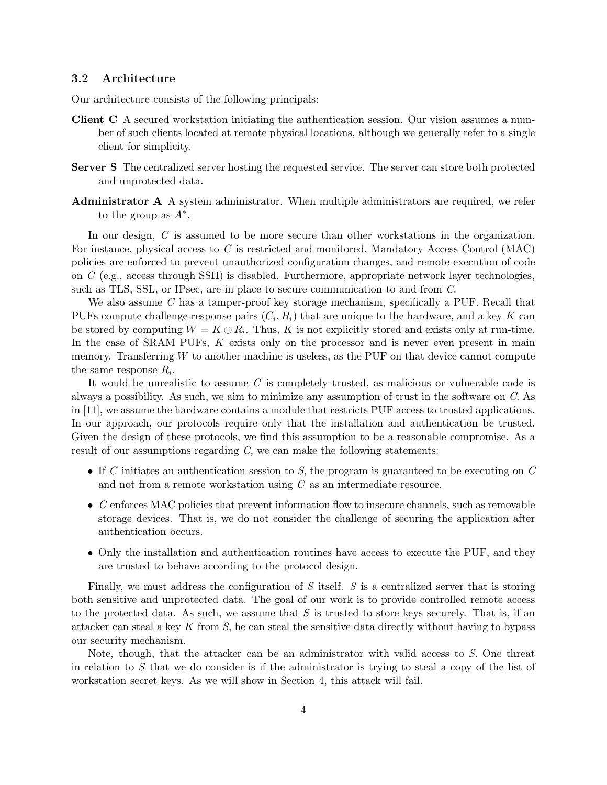### 3.2 Architecture

Our architecture consists of the following principals:

- Client C A secured workstation initiating the authentication session. Our vision assumes a number of such clients located at remote physical locations, although we generally refer to a single client for simplicity.
- Server S The centralized server hosting the requested service. The server can store both protected and unprotected data.
- Administrator A A system administrator. When multiple administrators are required, we refer to the group as  $A^*$ .

In our design, C is assumed to be more secure than other workstations in the organization. For instance, physical access to C is restricted and monitored, Mandatory Access Control (MAC) policies are enforced to prevent unauthorized configuration changes, and remote execution of code on C (e.g., access through SSH) is disabled. Furthermore, appropriate network layer technologies, such as TLS, SSL, or IPsec, are in place to secure communication to and from C.

We also assume C has a tamper-proof key storage mechanism, specifically a PUF. Recall that PUFs compute challenge-response pairs  $(C_i, R_i)$  that are unique to the hardware, and a key K can be stored by computing  $W = K \oplus R_i$ . Thus, K is not explicitly stored and exists only at run-time. In the case of SRAM PUFs,  $K$  exists only on the processor and is never even present in main memory. Transferring W to another machine is useless, as the PUF on that device cannot compute the same response  $R_i$ .

It would be unrealistic to assume C is completely trusted, as malicious or vulnerable code is always a possibility. As such, we aim to minimize any assumption of trust in the software on C. As in [11], we assume the hardware contains a module that restricts PUF access to trusted applications. In our approach, our protocols require only that the installation and authentication be trusted. Given the design of these protocols, we find this assumption to be a reasonable compromise. As a result of our assumptions regarding  $C$ , we can make the following statements:

- If C initiates an authentication session to S, the program is guaranteed to be executing on  $C$ and not from a remote workstation using  $C$  as an intermediate resource.
- C enforces MAC policies that prevent information flow to insecure channels, such as removable storage devices. That is, we do not consider the challenge of securing the application after authentication occurs.
- Only the installation and authentication routines have access to execute the PUF, and they are trusted to behave according to the protocol design.

Finally, we must address the configuration of  $S$  itself.  $S$  is a centralized server that is storing both sensitive and unprotected data. The goal of our work is to provide controlled remote access to the protected data. As such, we assume that  $S$  is trusted to store keys securely. That is, if an attacker can steal a key K from  $S$ , he can steal the sensitive data directly without having to bypass our security mechanism.

Note, though, that the attacker can be an administrator with valid access to S. One threat in relation to  $S$  that we do consider is if the administrator is trying to steal a copy of the list of workstation secret keys. As we will show in Section 4, this attack will fail.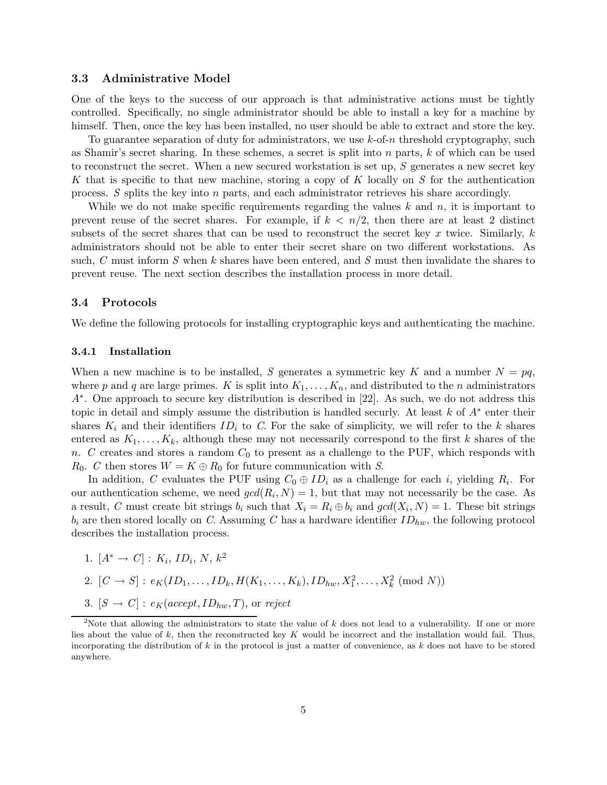### 3.3 Administrative Model

One of the keys to the success of our approach is that administrative actions must be tightly controlled. Specifically, no single administrator should be able to install a key for a machine by himself. Then, once the key has been installed, no user should be able to extract and store the key.

To guarantee separation of duty for administrators, we use  $k$ -of-n threshold cryptography, such as Shamir's secret sharing. In these schemes, a secret is split into n parts, k of which can be used to reconstruct the secret. When a new secured workstation is set up,  $S$  generates a new secret key K that is specific to that new machine, storing a copy of K locally on S for the authentication process. S splits the key into n parts, and each administrator retrieves his share accordingly.

While we do not make specific requirements regarding the values  $k$  and  $n$ , it is important to prevent reuse of the secret shares. For example, if  $k < n/2$ , then there are at least 2 distinct subsets of the secret shares that can be used to reconstruct the secret key  $x$  twice. Similarly,  $k$ administrators should not be able to enter their secret share on two different workstations. As such, C must inform S when k shares have been entered, and S must then invalidate the shares to prevent reuse. The next section describes the installation process in more detail.

#### 3.4 Protocols

We define the following protocols for installing cryptographic keys and authenticating the machine.

#### 3.4.1 Installation

When a new machine is to be installed, S generates a symmetric key K and a number  $N = pq$ , where p and q are large primes. K is split into  $K_1,\ldots,K_n$ , and distributed to the n administrators A∗ . One approach to secure key distribution is described in [22]. As such, we do not address this topic in detail and simply assume the distribution is handled securly. At least k of  $A^*$  enter their shares  $K_i$  and their identifiers  $ID_i$  to C. For the sake of simplicity, we will refer to the k shares entered as  $K_1,\ldots,K_k$ , although these may not necessarily correspond to the first k shares of the n. C creates and stores a random  $C_0$  to present as a challenge to the PUF, which responds with  $R_0$ . C then stores  $W = K \oplus R_0$  for future communication with S.

In addition, C evaluates the PUF using  $C_0 \oplus ID_i$  as a challenge for each i, yielding  $R_i$ . For our authentication scheme, we need  $gcd(R_i, N) = 1$ , but that may not necessarily be the case. As a result, C must create bit strings  $b_i$  such that  $X_i = R_i \oplus b_i$  and  $gcd(X_i, N) = 1$ . These bit strings  $b_i$  are then stored locally on C. Assuming C has a hardware identifier  $ID_{hw}$ , the following protocol describes the installation process.

- 1.  $[A^* \to C] : K_i, ID_i, N, k^2$
- 2.  $[C \to S] : e_K(ID_1, \ldots, ID_k, H(K_1, \ldots, K_k), ID_{hw}, X_1^2, \ldots, X_k^2 \pmod{N})$
- 3.  $[S \rightarrow C]$ :  $e_K(accept, ID_{hw}, T)$ , or reject

<sup>&</sup>lt;sup>2</sup>Note that allowing the administrators to state the value of k does not lead to a vulnerability. If one or more lies about the value of  $k$ , then the reconstructed key K would be incorrect and the installation would fail. Thus, incorporating the distribution of  $k$  in the protocol is just a matter of convenience, as  $k$  does not have to be stored anywhere.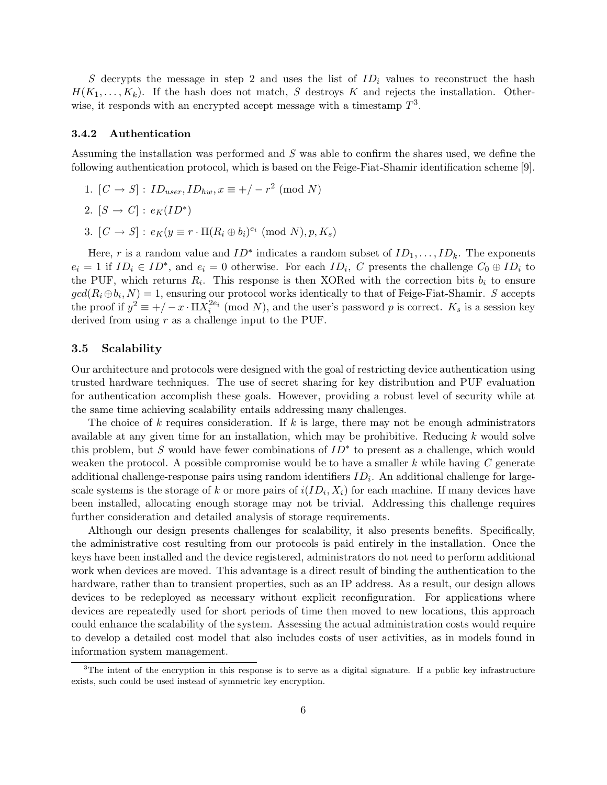S decrypts the message in step 2 and uses the list of  $ID_i$  values to reconstruct the hash  $H(K_1,\ldots,K_k)$ . If the hash does not match, S destroys K and rejects the installation. Otherwise, it responds with an encrypted accept message with a timestamp  $T^3$ .

#### 3.4.2 Authentication

Assuming the installation was performed and S was able to confirm the shares used, we define the following authentication protocol, which is based on the Feige-Fiat-Shamir identification scheme [9].

1.  $[C \to S] : ID_{user}, ID_{hw}, x \equiv +/-r^2 \pmod{N}$ 

$$
2. [S \to C] : e_K(ID^*)
$$

3.  $[C \to S] : e_K(y \equiv r \cdot \Pi(R_i \oplus b_i)^{e_i} \pmod{N}, p, K_s$ 

Here, r is a random value and  $ID^*$  indicates a random subset of  $ID_1, \ldots, ID_k$ . The exponents  $e_i = 1$  if  $ID_i \in ID^*$ , and  $e_i = 0$  otherwise. For each  $ID_i$ , C presents the challenge  $C_0 \oplus ID_i$  to the PUF, which returns  $R_i$ . This response is then XORed with the correction bits  $b_i$  to ensure  $gcd(R_i \oplus b_i, N) = 1$ , ensuring our protocol works identically to that of Feige-Fiat-Shamir. S accepts the proof if  $y^2 \equiv +/ -x \cdot \Pi X_i^{2e_i}$  $i^{2e_i}$  (mod N), and the user's password p is correct.  $K_s$  is a session key derived from using  $r$  as a challenge input to the PUF.

### 3.5 Scalability

Our architecture and protocols were designed with the goal of restricting device authentication using trusted hardware techniques. The use of secret sharing for key distribution and PUF evaluation for authentication accomplish these goals. However, providing a robust level of security while at the same time achieving scalability entails addressing many challenges.

The choice of  $k$  requires consideration. If  $k$  is large, there may not be enough administrators available at any given time for an installation, which may be prohibitive. Reducing  $k$  would solve this problem, but S would have fewer combinations of  $ID^*$  to present as a challenge, which would weaken the protocol. A possible compromise would be to have a smaller  $k$  while having  $C$  generate additional challenge-response pairs using random identifiers  $ID_i$ . An additional challenge for largescale systems is the storage of k or more pairs of  $i(ID_i, X_i)$  for each machine. If many devices have been installed, allocating enough storage may not be trivial. Addressing this challenge requires further consideration and detailed analysis of storage requirements.

Although our design presents challenges for scalability, it also presents benefits. Specifically, the administrative cost resulting from our protocols is paid entirely in the installation. Once the keys have been installed and the device registered, administrators do not need to perform additional work when devices are moved. This advantage is a direct result of binding the authentication to the hardware, rather than to transient properties, such as an IP address. As a result, our design allows devices to be redeployed as necessary without explicit reconfiguration. For applications where devices are repeatedly used for short periods of time then moved to new locations, this approach could enhance the scalability of the system. Assessing the actual administration costs would require to develop a detailed cost model that also includes costs of user activities, as in models found in information system management.

<sup>&</sup>lt;sup>3</sup>The intent of the encryption in this response is to serve as a digital signature. If a public key infrastructure exists, such could be used instead of symmetric key encryption.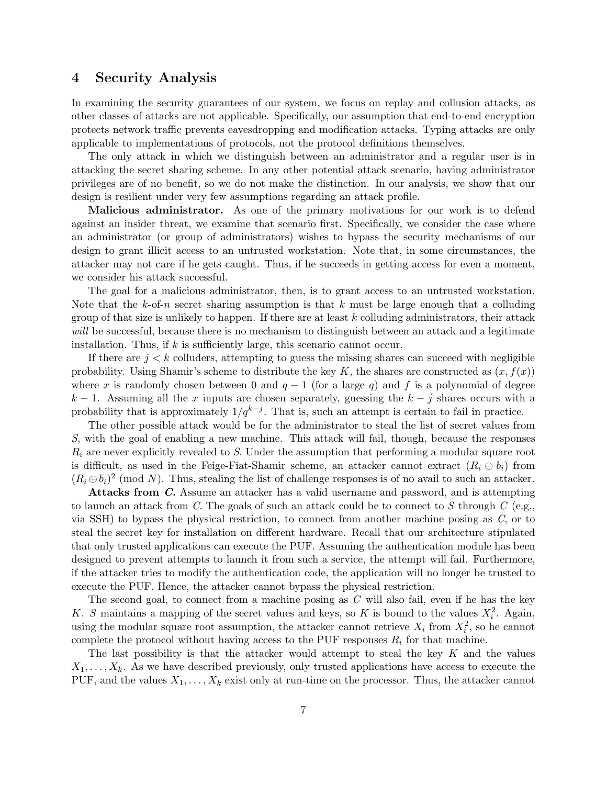### 4 Security Analysis

In examining the security guarantees of our system, we focus on replay and collusion attacks, as other classes of attacks are not applicable. Specifically, our assumption that end-to-end encryption protects network traffic prevents eavesdropping and modification attacks. Typing attacks are only applicable to implementations of protocols, not the protocol definitions themselves.

The only attack in which we distinguish between an administrator and a regular user is in attacking the secret sharing scheme. In any other potential attack scenario, having administrator privileges are of no benefit, so we do not make the distinction. In our analysis, we show that our design is resilient under very few assumptions regarding an attack profile.

Malicious administrator. As one of the primary motivations for our work is to defend against an insider threat, we examine that scenario first. Specifically, we consider the case where an administrator (or group of administrators) wishes to bypass the security mechanisms of our design to grant illicit access to an untrusted workstation. Note that, in some circumstances, the attacker may not care if he gets caught. Thus, if he succeeds in getting access for even a moment, we consider his attack successful.

The goal for a malicious administrator, then, is to grant access to an untrusted workstation. Note that the k-of-n secret sharing assumption is that k must be large enough that a colluding group of that size is unlikely to happen. If there are at least  $k$  colluding administrators, their attack will be successful, because there is no mechanism to distinguish between an attack and a legitimate installation. Thus, if  $k$  is sufficiently large, this scenario cannot occur.

If there are  $j < k$  colluders, attempting to guess the missing shares can succeed with negligible probability. Using Shamir's scheme to distribute the key K, the shares are constructed as  $(x, f(x))$ where x is randomly chosen between 0 and  $q - 1$  (for a large q) and f is a polynomial of degree  $k-1$ . Assuming all the x inputs are chosen separately, guessing the  $k - j$  shares occurs with a probability that is approximately  $1/q^{k-j}$ . That is, such an attempt is certain to fail in practice.

The other possible attack would be for the administrator to steal the list of secret values from S, with the goal of enabling a new machine. This attack will fail, though, because the responses  $R_i$  are never explicitly revealed to S. Under the assumption that performing a modular square root is difficult, as used in the Feige-Fiat-Shamir scheme, an attacker cannot extract  $(R_i \oplus b_i)$  from  $(R_i \oplus b_i)^2$  (mod N). Thus, stealing the list of challenge responses is of no avail to such an attacker.

Attacks from C. Assume an attacker has a valid username and password, and is attempting to launch an attack from C. The goals of such an attack could be to connect to S through C (e.g., via SSH) to bypass the physical restriction, to connect from another machine posing as  $C$ , or to steal the secret key for installation on different hardware. Recall that our architecture stipulated that only trusted applications can execute the PUF. Assuming the authentication module has been designed to prevent attempts to launch it from such a service, the attempt will fail. Furthermore, if the attacker tries to modify the authentication code, the application will no longer be trusted to execute the PUF. Hence, the attacker cannot bypass the physical restriction.

The second goal, to connect from a machine posing as  $C$  will also fail, even if he has the key K. S maintains a mapping of the secret values and keys, so K is bound to the values  $X_i^2$ . Again, using the modular square root assumption, the attacker cannot retrieve  $X_i$  from  $X_i^2$ , so he cannot complete the protocol without having access to the PUF responses  $R_i$  for that machine.

The last possibility is that the attacker would attempt to steal the key  $K$  and the values  $X_1,\ldots,X_k$ . As we have described previously, only trusted applications have access to execute the PUF, and the values  $X_1, \ldots, X_k$  exist only at run-time on the processor. Thus, the attacker cannot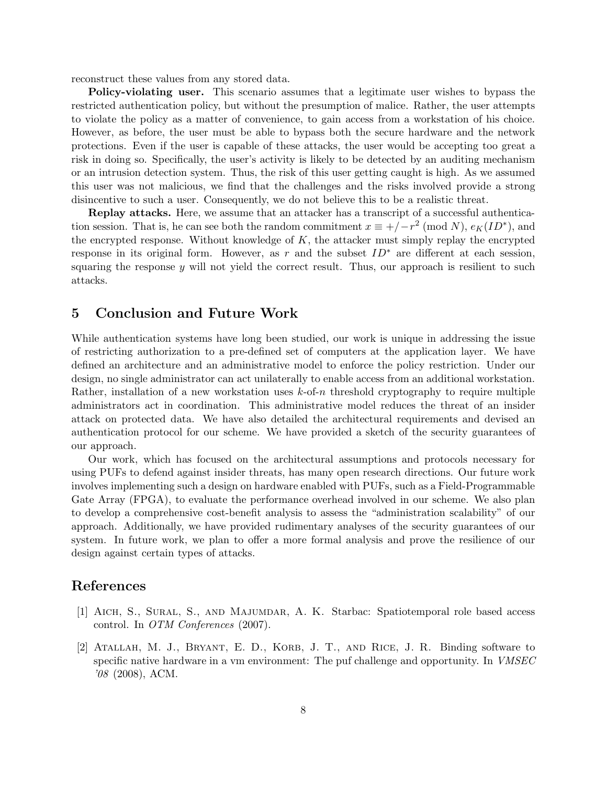reconstruct these values from any stored data.

Policy-violating user. This scenario assumes that a legitimate user wishes to bypass the restricted authentication policy, but without the presumption of malice. Rather, the user attempts to violate the policy as a matter of convenience, to gain access from a workstation of his choice. However, as before, the user must be able to bypass both the secure hardware and the network protections. Even if the user is capable of these attacks, the user would be accepting too great a risk in doing so. Specifically, the user's activity is likely to be detected by an auditing mechanism or an intrusion detection system. Thus, the risk of this user getting caught is high. As we assumed this user was not malicious, we find that the challenges and the risks involved provide a strong disincentive to such a user. Consequently, we do not believe this to be a realistic threat.

Replay attacks. Here, we assume that an attacker has a transcript of a successful authentication session. That is, he can see both the random commitment  $x \equiv +/-r^2 \pmod{N}$ ,  $e_K(ID^*)$ , and the encrypted response. Without knowledge of  $K$ , the attacker must simply replay the encrypted response in its original form. However, as r and the subset  $ID^*$  are different at each session, squaring the response  $y$  will not yield the correct result. Thus, our approach is resilient to such attacks.

# 5 Conclusion and Future Work

While authentication systems have long been studied, our work is unique in addressing the issue of restricting authorization to a pre-defined set of computers at the application layer. We have defined an architecture and an administrative model to enforce the policy restriction. Under our design, no single administrator can act unilaterally to enable access from an additional workstation. Rather, installation of a new workstation uses  $k$ -of-n threshold cryptography to require multiple administrators act in coordination. This administrative model reduces the threat of an insider attack on protected data. We have also detailed the architectural requirements and devised an authentication protocol for our scheme. We have provided a sketch of the security guarantees of our approach.

Our work, which has focused on the architectural assumptions and protocols necessary for using PUFs to defend against insider threats, has many open research directions. Our future work involves implementing such a design on hardware enabled with PUFs, such as a Field-Programmable Gate Array (FPGA), to evaluate the performance overhead involved in our scheme. We also plan to develop a comprehensive cost-benefit analysis to assess the "administration scalability" of our approach. Additionally, we have provided rudimentary analyses of the security guarantees of our system. In future work, we plan to offer a more formal analysis and prove the resilience of our design against certain types of attacks.

# References

- [1] Aich, S., Sural, S., and Majumdar, A. K. Starbac: Spatiotemporal role based access control. In OTM Conferences (2007).
- [2] Atallah, M. J., Bryant, E. D., Korb, J. T., and Rice, J. R. Binding software to specific native hardware in a vm environment: The puf challenge and opportunity. In VMSEC '08 (2008), ACM.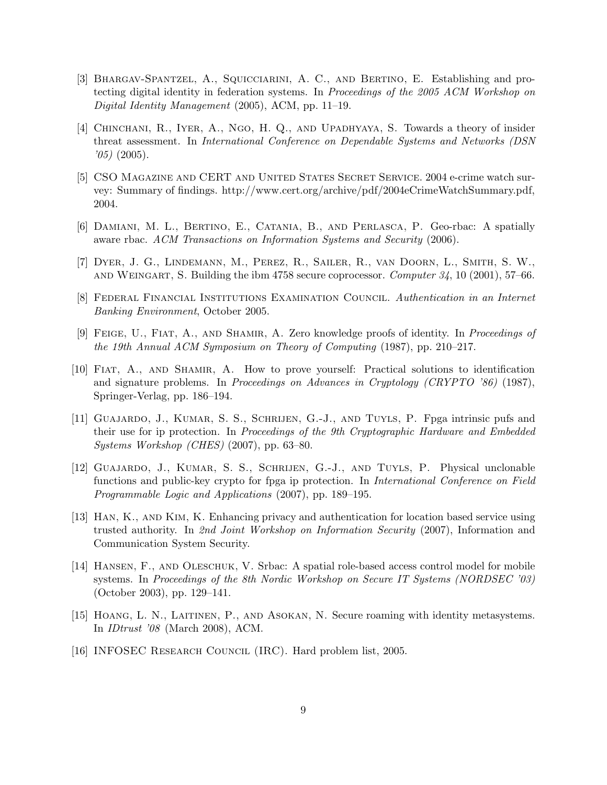- [3] Bhargav-Spantzel, A., Squicciarini, A. C., and Bertino, E. Establishing and protecting digital identity in federation systems. In Proceedings of the 2005 ACM Workshop on Digital Identity Management (2005), ACM, pp. 11–19.
- [4] Chinchani, R., Iyer, A., Ngo, H. Q., and Upadhyaya, S. Towards a theory of insider threat assessment. In International Conference on Dependable Systems and Networks (DSN  $'05)$  (2005).
- [5] CSO Magazine and CERT and United States Secret Service. 2004 e-crime watch survey: Summary of findings. http://www.cert.org/archive/pdf/2004eCrimeWatchSummary.pdf, 2004.
- [6] Damiani, M. L., Bertino, E., Catania, B., and Perlasca, P. Geo-rbac: A spatially aware rbac. ACM Transactions on Information Systems and Security (2006).
- [7] Dyer, J. G., Lindemann, M., Perez, R., Sailer, R., van Doorn, L., Smith, S. W., and Weingart, S. Building the ibm 4758 secure coprocessor. Computer 34, 10 (2001), 57–66.
- [8] Federal Financial Institutions Examination Council. Authentication in an Internet Banking Environment, October 2005.
- [9] FEIGE, U., FIAT, A., AND SHAMIR, A. Zero knowledge proofs of identity. In *Proceedings of* the 19th Annual ACM Symposium on Theory of Computing (1987), pp. 210–217.
- [10] Fiat, A., and Shamir, A. How to prove yourself: Practical solutions to identification and signature problems. In Proceedings on Advances in Cryptology (CRYPTO '86) (1987), Springer-Verlag, pp. 186–194.
- [11] Guajardo, J., Kumar, S. S., Schrijen, G.-J., and Tuyls, P. Fpga intrinsic pufs and their use for ip protection. In Proceedings of the 9th Cryptographic Hardware and Embedded Systems Workshop (CHES) (2007), pp. 63–80.
- [12] Guajardo, J., Kumar, S. S., Schrijen, G.-J., and Tuyls, P. Physical unclonable functions and public-key crypto for fpga ip protection. In International Conference on Field Programmable Logic and Applications (2007), pp. 189–195.
- [13] Han, K., and Kim, K. Enhancing privacy and authentication for location based service using trusted authority. In 2nd Joint Workshop on Information Security (2007), Information and Communication System Security.
- [14] Hansen, F., and Oleschuk, V. Srbac: A spatial role-based access control model for mobile systems. In Proceedings of the 8th Nordic Workshop on Secure IT Systems (NORDSEC '03) (October 2003), pp. 129–141.
- [15] Hoang, L. N., Laitinen, P., and Asokan, N. Secure roaming with identity metasystems. In IDtrust '08 (March 2008), ACM.
- [16] INFOSEC Research Council (IRC). Hard problem list, 2005.